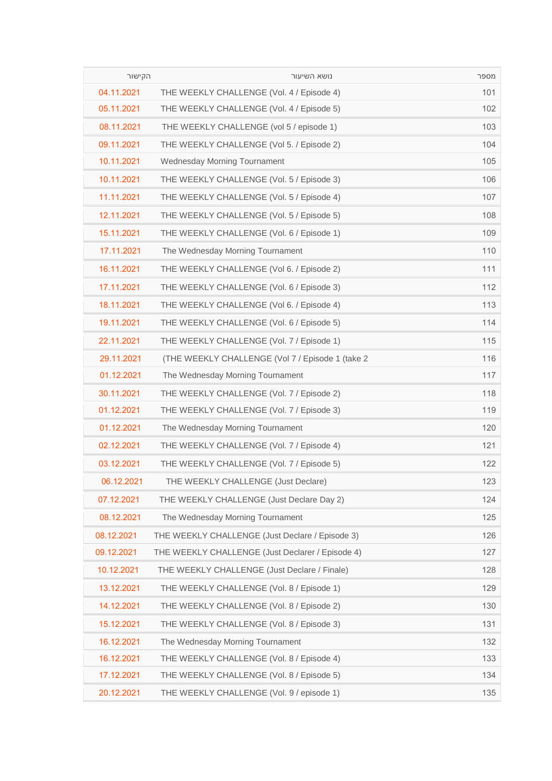| הקישור     | נושא השיעור                                       | מספר |
|------------|---------------------------------------------------|------|
| 04.11.2021 | THE WEEKLY CHALLENGE (Vol. 4 / Episode 4)         | 101  |
| 05.11.2021 | THE WEEKLY CHALLENGE (Vol. 4 / Episode 5)         | 102  |
| 08.11.2021 | THE WEEKLY CHALLENGE (vol 5 / episode 1)          | 103  |
| 09.11.2021 | THE WEEKLY CHALLENGE (Vol 5. / Episode 2)         | 104  |
| 10.11.2021 | <b>Wednesday Morning Tournament</b>               | 105  |
| 10.11.2021 | THE WEEKLY CHALLENGE (Vol. 5 / Episode 3)         | 106  |
| 11.11.2021 | THE WEEKLY CHALLENGE (Vol. 5 / Episode 4)         | 107  |
| 12.11.2021 | THE WEEKLY CHALLENGE (Vol. 5 / Episode 5)         | 108  |
| 15.11.2021 | THE WEEKLY CHALLENGE (Vol. 6 / Episode 1)         | 109  |
| 17.11.2021 | The Wednesday Morning Tournament                  | 110  |
| 16.11.2021 | THE WEEKLY CHALLENGE (Vol 6. / Episode 2)         | 111  |
| 17.11.2021 | THE WEEKLY CHALLENGE (Vol. 6 / Episode 3)         | 112  |
| 18.11.2021 | THE WEEKLY CHALLENGE (Vol 6. / Episode 4)         | 113  |
| 19.11.2021 | THE WEEKLY CHALLENGE (Vol. 6 / Episode 5)         | 114  |
| 22.11.2021 | THE WEEKLY CHALLENGE (Vol. 7 / Episode 1)         | 115  |
| 29.11.2021 | (THE WEEKLY CHALLENGE (Vol 7 / Episode 1 (take 2) | 116  |
| 01.12.2021 | The Wednesday Morning Tournament                  | 117  |
| 30.11.2021 | THE WEEKLY CHALLENGE (Vol. 7 / Episode 2)         | 118  |
| 01.12.2021 | THE WEEKLY CHALLENGE (Vol. 7 / Episode 3)         | 119  |
| 01.12.2021 | The Wednesday Morning Tournament                  | 120  |
| 02.12.2021 | THE WEEKLY CHALLENGE (Vol. 7 / Episode 4)         | 121  |
| 03.12.2021 | THE WEEKLY CHALLENGE (Vol. 7 / Episode 5)         | 122  |
| 06.12.2021 | THE WEEKLY CHALLENGE (Just Declare)               | 123  |
| 07.12.2021 | THE WEEKLY CHALLENGE (Just Declare Day 2)         | 124  |
| 08.12.2021 | The Wednesday Morning Tournament                  | 125  |
| 08.12.2021 | THE WEEKLY CHALLENGE (Just Declare / Episode 3)   | 126  |
| 09.12.2021 | THE WEEKLY CHALLENGE (Just Declarer / Episode 4)  | 127  |
| 10.12.2021 | THE WEEKLY CHALLENGE (Just Declare / Finale)      | 128  |
| 13.12.2021 | THE WEEKLY CHALLENGE (Vol. 8 / Episode 1)         | 129  |
| 14.12.2021 | THE WEEKLY CHALLENGE (Vol. 8 / Episode 2)         | 130  |
| 15.12.2021 | THE WEEKLY CHALLENGE (Vol. 8 / Episode 3)         | 131  |
| 16.12.2021 | The Wednesday Morning Tournament                  | 132  |
| 16.12.2021 | THE WEEKLY CHALLENGE (Vol. 8 / Episode 4)         | 133  |
| 17.12.2021 | THE WEEKLY CHALLENGE (Vol. 8 / Episode 5)         | 134  |
| 20.12.2021 | THE WEEKLY CHALLENGE (Vol. 9 / episode 1)         | 135  |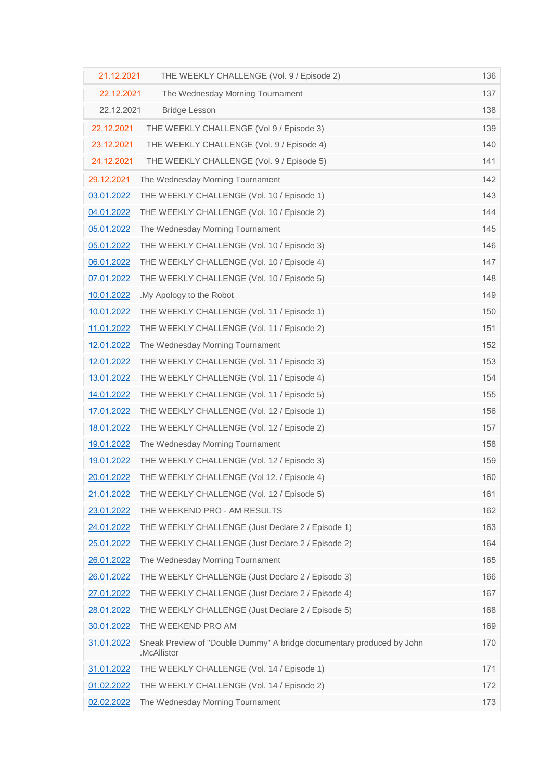| 21.12.2021 | THE WEEKLY CHALLENGE (Vol. 9 / Episode 2)                                            | 136 |
|------------|--------------------------------------------------------------------------------------|-----|
| 22.12.2021 | The Wednesday Morning Tournament                                                     | 137 |
| 22.12.2021 | <b>Bridge Lesson</b>                                                                 | 138 |
| 22.12.2021 | THE WEEKLY CHALLENGE (Vol 9 / Episode 3)                                             | 139 |
| 23.12.2021 | THE WEEKLY CHALLENGE (Vol. 9 / Episode 4)                                            | 140 |
| 24.12.2021 | THE WEEKLY CHALLENGE (Vol. 9 / Episode 5)                                            | 141 |
| 29.12.2021 | The Wednesday Morning Tournament                                                     | 142 |
| 03.01.2022 | THE WEEKLY CHALLENGE (Vol. 10 / Episode 1)                                           | 143 |
| 04.01.2022 | THE WEEKLY CHALLENGE (Vol. 10 / Episode 2)                                           | 144 |
| 05.01.2022 | The Wednesday Morning Tournament                                                     | 145 |
| 05.01.2022 | THE WEEKLY CHALLENGE (Vol. 10 / Episode 3)                                           | 146 |
| 06.01.2022 | THE WEEKLY CHALLENGE (Vol. 10 / Episode 4)                                           | 147 |
| 07.01.2022 | THE WEEKLY CHALLENGE (Vol. 10 / Episode 5)                                           | 148 |
| 10.01.2022 | .My Apology to the Robot                                                             | 149 |
| 10.01.2022 | THE WEEKLY CHALLENGE (Vol. 11 / Episode 1)                                           | 150 |
| 11.01.2022 | THE WEEKLY CHALLENGE (Vol. 11 / Episode 2)                                           | 151 |
| 12.01.2022 | The Wednesday Morning Tournament                                                     | 152 |
| 12.01.2022 | THE WEEKLY CHALLENGE (Vol. 11 / Episode 3)                                           | 153 |
| 13.01.2022 | THE WEEKLY CHALLENGE (Vol. 11 / Episode 4)                                           | 154 |
| 14.01.2022 | THE WEEKLY CHALLENGE (Vol. 11 / Episode 5)                                           | 155 |
| 17.01.2022 | THE WEEKLY CHALLENGE (Vol. 12 / Episode 1)                                           | 156 |
| 18.01.2022 | THE WEEKLY CHALLENGE (Vol. 12 / Episode 2)                                           | 157 |
| 19.01.2022 | The Wednesday Morning Tournament                                                     | 158 |
| 19.01.2022 | THE WEEKLY CHALLENGE (Vol. 12 / Episode 3)                                           | 159 |
| 20.01.2022 | THE WEEKLY CHALLENGE (Vol 12. / Episode 4)                                           | 160 |
| 21.01.2022 | THE WEEKLY CHALLENGE (Vol. 12 / Episode 5)                                           | 161 |
| 23.01.2022 | THE WEEKEND PRO - AM RESULTS                                                         | 162 |
| 24.01.2022 | THE WEEKLY CHALLENGE (Just Declare 2 / Episode 1)                                    | 163 |
| 25.01.2022 | THE WEEKLY CHALLENGE (Just Declare 2 / Episode 2)                                    | 164 |
| 26.01.2022 | The Wednesday Morning Tournament                                                     | 165 |
| 26.01.2022 | THE WEEKLY CHALLENGE (Just Declare 2 / Episode 3)                                    | 166 |
| 27.01.2022 | THE WEEKLY CHALLENGE (Just Declare 2 / Episode 4)                                    | 167 |
| 28.01.2022 | THE WEEKLY CHALLENGE (Just Declare 2 / Episode 5)                                    | 168 |
| 30.01.2022 | THE WEEKEND PRO AM                                                                   | 169 |
| 31.01.2022 | Sneak Preview of "Double Dummy" A bridge documentary produced by John<br>.McAllister | 170 |
| 31.01.2022 | THE WEEKLY CHALLENGE (Vol. 14 / Episode 1)                                           | 171 |
| 01.02.2022 | THE WEEKLY CHALLENGE (Vol. 14 / Episode 2)                                           | 172 |
| 02.02.2022 | The Wednesday Morning Tournament                                                     | 173 |